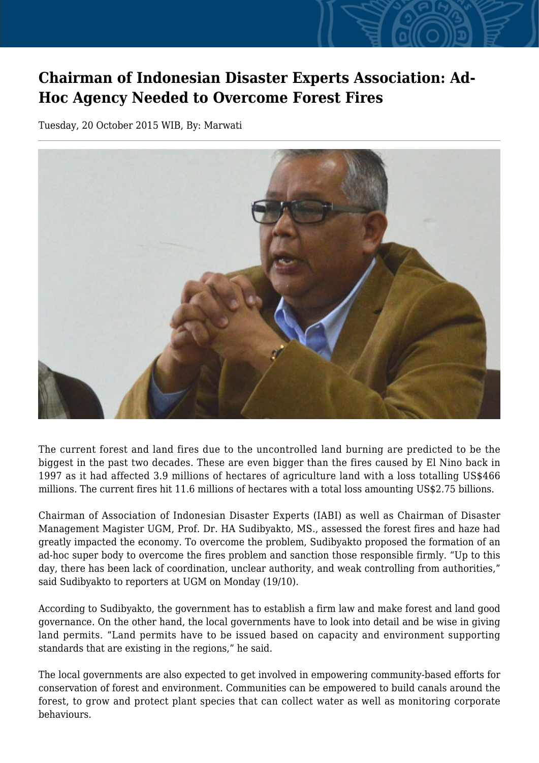## **Chairman of Indonesian Disaster Experts Association: Ad-Hoc Agency Needed to Overcome Forest Fires**

Tuesday, 20 October 2015 WIB, By: Marwati



The current forest and land fires due to the uncontrolled land burning are predicted to be the biggest in the past two decades. These are even bigger than the fires caused by El Nino back in 1997 as it had affected 3.9 millions of hectares of agriculture land with a loss totalling US\$466 millions. The current fires hit 11.6 millions of hectares with a total loss amounting US\$2.75 billions.

Chairman of Association of Indonesian Disaster Experts (IABI) as well as Chairman of Disaster Management Magister UGM, Prof. Dr. HA Sudibyakto, MS., assessed the forest fires and haze had greatly impacted the economy. To overcome the problem, Sudibyakto proposed the formation of an ad-hoc super body to overcome the fires problem and sanction those responsible firmly. "Up to this day, there has been lack of coordination, unclear authority, and weak controlling from authorities," said Sudibyakto to reporters at UGM on Monday (19/10).

According to Sudibyakto, the government has to establish a firm law and make forest and land good governance. On the other hand, the local governments have to look into detail and be wise in giving land permits. "Land permits have to be issued based on capacity and environment supporting standards that are existing in the regions," he said.

The local governments are also expected to get involved in empowering community-based efforts for conservation of forest and environment. Communities can be empowered to build canals around the forest, to grow and protect plant species that can collect water as well as monitoring corporate behaviours.